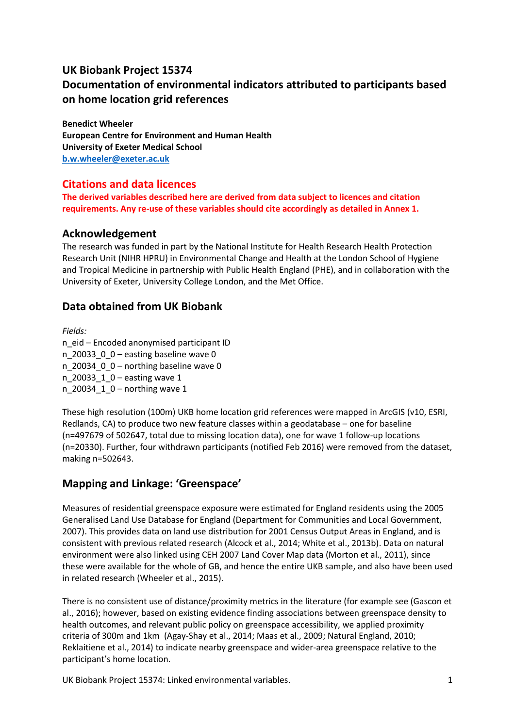# **UK Biobank Project 15374 Documentation of environmental indicators attributed to participants based on home location grid references**

**Benedict Wheeler European Centre for Environment and Human Health University of Exeter Medical School [b.w.wheeler@exeter.ac.uk](mailto:b.w.wheeler@exeter.ac.uk)**

# **Citations and data licences**

**The derived variables described here are derived from data subject to licences and citation requirements. Any re-use of these variables should cite accordingly as detailed in Annex 1.**

## **Acknowledgement**

The research was funded in part by the National Institute for Health Research Health Protection Research Unit (NIHR HPRU) in Environmental Change and Health at the London School of Hygiene and Tropical Medicine in partnership with Public Health England (PHE), and in collaboration with the University of Exeter, University College London, and the Met Office.

# **Data obtained from UK Biobank**

*Fields:* n\_eid – Encoded anonymised participant ID n\_20033\_0\_0 – easting baseline wave 0 n 20034  $0$  0 – northing baseline wave 0 n 20033  $1$  0 – easting wave 1 n 20034  $1$  0 – northing wave 1

These high resolution (100m) UKB home location grid references were mapped in ArcGIS (v10, ESRI, Redlands, CA) to produce two new feature classes within a geodatabase – one for baseline (n=497679 of 502647, total due to missing location data), one for wave 1 follow-up locations (n=20330). Further, four withdrawn participants (notified Feb 2016) were removed from the dataset, making n=502643.

# **Mapping and Linkage: 'Greenspace'**

Measures of residential greenspace exposure were estimated for England residents using the 2005 Generalised Land Use Database for England (Department for Communities and Local Government, 2007). This provides data on land use distribution for 2001 Census Output Areas in England, and is consistent with previous related research (Alcock et al., 2014; White et al., 2013b). Data on natural environment were also linked using CEH 2007 Land Cover Map data (Morton et al., 2011), since these were available for the whole of GB, and hence the entire UKB sample, and also have been used in related research (Wheeler et al., 2015).

There is no consistent use of distance/proximity metrics in the literature (for example see (Gascon et al., 2016); however, based on existing evidence finding associations between greenspace density to health outcomes, and relevant public policy on greenspace accessibility, we applied proximity criteria of 300m and 1km (Agay-Shay et al., 2014; Maas et al., 2009; Natural England, 2010; Reklaitiene et al., 2014) to indicate nearby greenspace and wider-area greenspace relative to the participant's home location.

UK Biobank Project 15374: Linked environmental variables. 1 1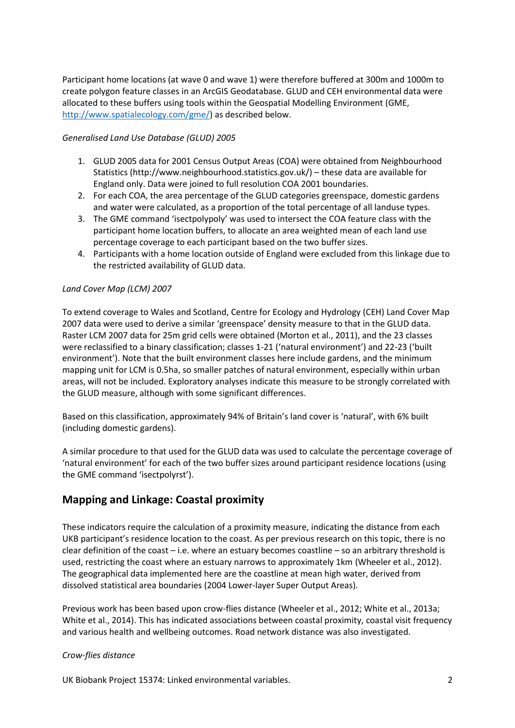Participant home locations (at wave 0 and wave 1) were therefore buffered at 300m and 1000m to create polygon feature classes in an ArcGIS Geodatabase. GLUD and CEH environmental data were allocated to these buffers using tools within the Geospatial Modelling Environment (GME, [http://www.spatialecology.com/gme/\)](http://www.spatialecology.com/gme/) as described below.

#### *Generalised Land Use Database (GLUD) 2005*

- 1. GLUD 2005 data for 2001 Census Output Areas (COA) were obtained from Neighbourhood Statistics (http://www.neighbourhood.statistics.gov.uk/) – these data are available for England only. Data were joined to full resolution COA 2001 boundaries.
- 2. For each COA, the area percentage of the GLUD categories greenspace, domestic gardens and water were calculated, as a proportion of the total percentage of all landuse types.
- 3. The GME command 'isectpolypoly' was used to intersect the COA feature class with the participant home location buffers, to allocate an area weighted mean of each land use percentage coverage to each participant based on the two buffer sizes.
- 4. Participants with a home location outside of England were excluded from this linkage due to the restricted availability of GLUD data.

#### *Land Cover Map (LCM) 2007*

To extend coverage to Wales and Scotland, Centre for Ecology and Hydrology (CEH) Land Cover Map 2007 data were used to derive a similar 'greenspace' density measure to that in the GLUD data. Raster LCM 2007 data for 25m grid cells were obtained (Morton et al., 2011), and the 23 classes were reclassified to a binary classification; classes 1-21 ('natural environment') and 22-23 ('built environment'). Note that the built environment classes here include gardens, and the minimum mapping unit for LCM is 0.5ha, so smaller patches of natural environment, especially within urban areas, will not be included. Exploratory analyses indicate this measure to be strongly correlated with the GLUD measure, although with some significant differences.

Based on this classification, approximately 94% of Britain's land cover is 'natural', with 6% built (including domestic gardens).

A similar procedure to that used for the GLUD data was used to calculate the percentage coverage of 'natural environment' for each of the two buffer sizes around participant residence locations (using the GME command 'isectpolyrst').

## **Mapping and Linkage: Coastal proximity**

These indicators require the calculation of a proximity measure, indicating the distance from each UKB participant's residence location to the coast. As per previous research on this topic, there is no clear definition of the coast – i.e. where an estuary becomes coastline – so an arbitrary threshold is used, restricting the coast where an estuary narrows to approximately 1km (Wheeler et al., 2012). The geographical data implemented here are the coastline at mean high water, derived from dissolved statistical area boundaries (2004 Lower-layer Super Output Areas).

Previous work has been based upon crow-flies distance (Wheeler et al., 2012; White et al., 2013a; White et al., 2014). This has indicated associations between coastal proximity, coastal visit frequency and various health and wellbeing outcomes. Road network distance was also investigated.

#### *Crow-flies distance*

UK Biobank Project 15374: Linked environmental variables. 2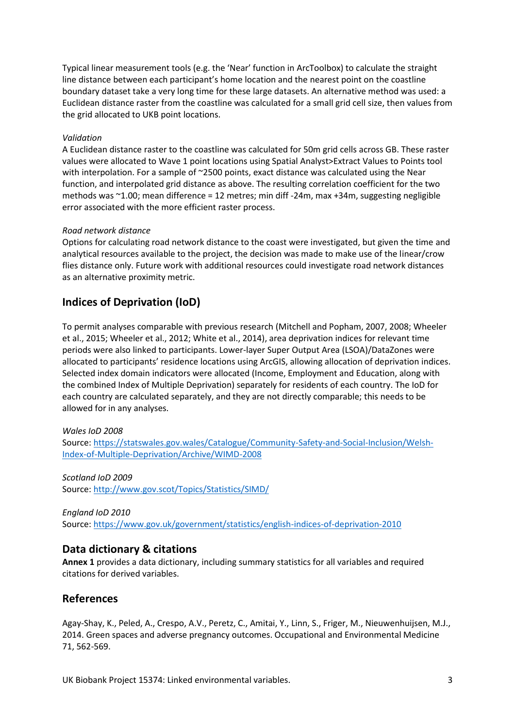Typical linear measurement tools (e.g. the 'Near' function in ArcToolbox) to calculate the straight line distance between each participant's home location and the nearest point on the coastline boundary dataset take a very long time for these large datasets. An alternative method was used: a Euclidean distance raster from the coastline was calculated for a small grid cell size, then values from the grid allocated to UKB point locations.

#### *Validation*

A Euclidean distance raster to the coastline was calculated for 50m grid cells across GB. These raster values were allocated to Wave 1 point locations using Spatial Analyst>Extract Values to Points tool with interpolation. For a sample of ~2500 points, exact distance was calculated using the Near function, and interpolated grid distance as above. The resulting correlation coefficient for the two methods was ~1.00; mean difference = 12 metres; min diff -24m, max +34m, suggesting negligible error associated with the more efficient raster process.

#### *Road network distance*

Options for calculating road network distance to the coast were investigated, but given the time and analytical resources available to the project, the decision was made to make use of the linear/crow flies distance only. Future work with additional resources could investigate road network distances as an alternative proximity metric.

### **Indices of Deprivation (IoD)**

To permit analyses comparable with previous research (Mitchell and Popham, 2007, 2008; Wheeler et al., 2015; Wheeler et al., 2012; White et al., 2014), area deprivation indices for relevant time periods were also linked to participants. Lower-layer Super Output Area (LSOA)/DataZones were allocated to participants' residence locations using ArcGIS, allowing allocation of deprivation indices. Selected index domain indicators were allocated (Income, Employment and Education, along with the combined Index of Multiple Deprivation) separately for residents of each country. The IoD for each country are calculated separately, and they are not directly comparable; this needs to be allowed for in any analyses.

#### *Wales IoD 2008*

Source: [https://statswales.gov.wales/Catalogue/Community-Safety-and-Social-Inclusion/Welsh-](https://statswales.gov.wales/Catalogue/Community-Safety-and-Social-Inclusion/Welsh-Index-of-Multiple-Deprivation/Archive/WIMD-2008)[Index-of-Multiple-Deprivation/Archive/WIMD-2008](https://statswales.gov.wales/Catalogue/Community-Safety-and-Social-Inclusion/Welsh-Index-of-Multiple-Deprivation/Archive/WIMD-2008)

### *Scotland IoD 2009* Source: <http://www.gov.scot/Topics/Statistics/SIMD/>

*England IoD 2010* Source: <https://www.gov.uk/government/statistics/english-indices-of-deprivation-2010>

### **Data dictionary & citations**

**Annex 1** provides a data dictionary, including summary statistics for all variables and required citations for derived variables.

### **References**

Agay-Shay, K., Peled, A., Crespo, A.V., Peretz, C., Amitai, Y., Linn, S., Friger, M., Nieuwenhuijsen, M.J., 2014. Green spaces and adverse pregnancy outcomes. Occupational and Environmental Medicine 71, 562-569.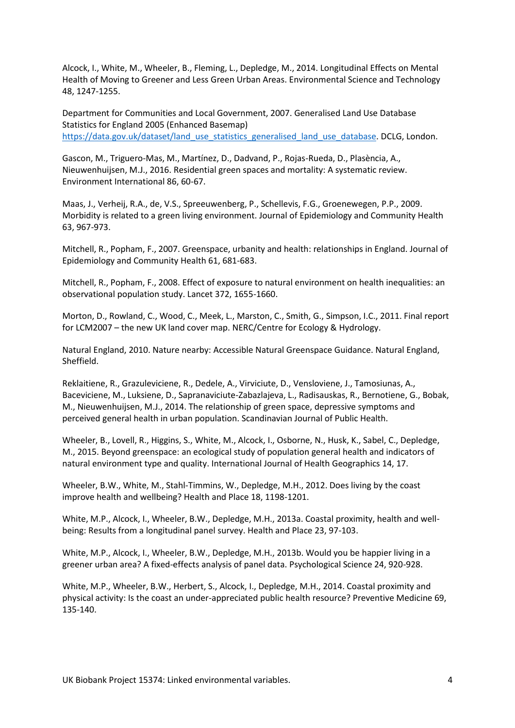Alcock, I., White, M., Wheeler, B., Fleming, L., Depledge, M., 2014. Longitudinal Effects on Mental Health of Moving to Greener and Less Green Urban Areas. Environmental Science and Technology 48, 1247-1255.

Department for Communities and Local Government, 2007. Generalised Land Use Database Statistics for England 2005 (Enhanced Basemap) [https://data.gov.uk/dataset/land\\_use\\_statistics\\_generalised\\_land\\_use\\_database.](https://data.gov.uk/dataset/land_use_statistics_generalised_land_use_database) DCLG, London.

Gascon, M., Triguero-Mas, M., Martínez, D., Dadvand, P., Rojas-Rueda, D., Plasència, A., Nieuwenhuijsen, M.J., 2016. Residential green spaces and mortality: A systematic review. Environment International 86, 60-67.

Maas, J., Verheij, R.A., de, V.S., Spreeuwenberg, P., Schellevis, F.G., Groenewegen, P.P., 2009. Morbidity is related to a green living environment. Journal of Epidemiology and Community Health 63, 967-973.

Mitchell, R., Popham, F., 2007. Greenspace, urbanity and health: relationships in England. Journal of Epidemiology and Community Health 61, 681-683.

Mitchell, R., Popham, F., 2008. Effect of exposure to natural environment on health inequalities: an observational population study. Lancet 372, 1655-1660.

Morton, D., Rowland, C., Wood, C., Meek, L., Marston, C., Smith, G., Simpson, I.C., 2011. Final report for LCM2007 – the new UK land cover map. NERC/Centre for Ecology & Hydrology.

Natural England, 2010. Nature nearby: Accessible Natural Greenspace Guidance. Natural England, Sheffield.

Reklaitiene, R., Grazuleviciene, R., Dedele, A., Virviciute, D., Vensloviene, J., Tamosiunas, A., Baceviciene, M., Luksiene, D., Sapranaviciute-Zabazlajeva, L., Radisauskas, R., Bernotiene, G., Bobak, M., Nieuwenhuijsen, M.J., 2014. The relationship of green space, depressive symptoms and perceived general health in urban population. Scandinavian Journal of Public Health.

Wheeler, B., Lovell, R., Higgins, S., White, M., Alcock, I., Osborne, N., Husk, K., Sabel, C., Depledge, M., 2015. Beyond greenspace: an ecological study of population general health and indicators of natural environment type and quality. International Journal of Health Geographics 14, 17.

Wheeler, B.W., White, M., Stahl-Timmins, W., Depledge, M.H., 2012. Does living by the coast improve health and wellbeing? Health and Place 18, 1198-1201.

White, M.P., Alcock, I., Wheeler, B.W., Depledge, M.H., 2013a. Coastal proximity, health and wellbeing: Results from a longitudinal panel survey. Health and Place 23, 97-103.

White, M.P., Alcock, I., Wheeler, B.W., Depledge, M.H., 2013b. Would you be happier living in a greener urban area? A fixed-effects analysis of panel data. Psychological Science 24, 920-928.

White, M.P., Wheeler, B.W., Herbert, S., Alcock, I., Depledge, M.H., 2014. Coastal proximity and physical activity: Is the coast an under-appreciated public health resource? Preventive Medicine 69, 135-140.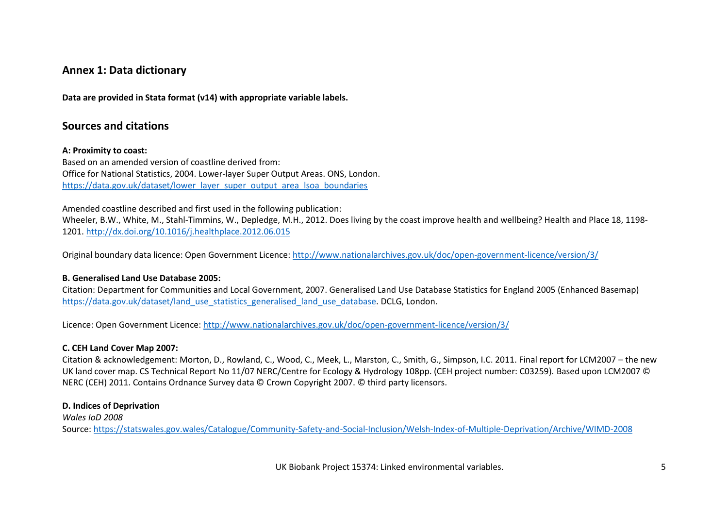## **Annex 1: Data dictionary**

**Data are provided in Stata format (v14) with appropriate variable labels.**

### **Sources and citations**

#### **A: Proximity to coast:**

Based on an amended version of coastline derived from: Office for National Statistics, 2004. Lower-layer Super Output Areas. ONS, London. [https://data.gov.uk/dataset/lower\\_layer\\_super\\_output\\_area\\_lsoa\\_boundaries](https://data.gov.uk/dataset/lower_layer_super_output_area_lsoa_boundaries)

Amended coastline described and first used in the following publication:

Wheeler, B.W., White, M., Stahl-Timmins, W., Depledge, M.H., 2012. Does living by the coast improve health and wellbeing? Health and Place 18, 1198- 1201[. http://dx.doi.org/10.1016/j.healthplace.2012.06.015](http://dx.doi.org/10.1016/j.healthplace.2012.06.015)

Original boundary data licence: Open Government Licence:<http://www.nationalarchives.gov.uk/doc/open-government-licence/version/3/>

#### **B. Generalised Land Use Database 2005:**

Citation: Department for Communities and Local Government, 2007. Generalised Land Use Database Statistics for England 2005 (Enhanced Basemap) [https://data.gov.uk/dataset/land\\_use\\_statistics\\_generalised\\_land\\_use\\_database.](https://data.gov.uk/dataset/land_use_statistics_generalised_land_use_database) DCLG, London.

Licence: Open Government Licence:<http://www.nationalarchives.gov.uk/doc/open-government-licence/version/3/>

#### **C. CEH Land Cover Map 2007:**

Citation & acknowledgement: Morton, D., Rowland, C., Wood, C., Meek, L., Marston, C., Smith, G., Simpson, I.C. 2011. Final report for LCM2007 – the new UK land cover map. CS Technical Report No 11/07 NERC/Centre for Ecology & Hydrology 108pp. (CEH project number: C03259). Based upon LCM2007 © NERC (CEH) 2011. Contains Ordnance Survey data © Crown Copyright 2007. © third party licensors.

#### **D. Indices of Deprivation**

*Wales IoD 2008* Source:<https://statswales.gov.wales/Catalogue/Community-Safety-and-Social-Inclusion/Welsh-Index-of-Multiple-Deprivation/Archive/WIMD-2008>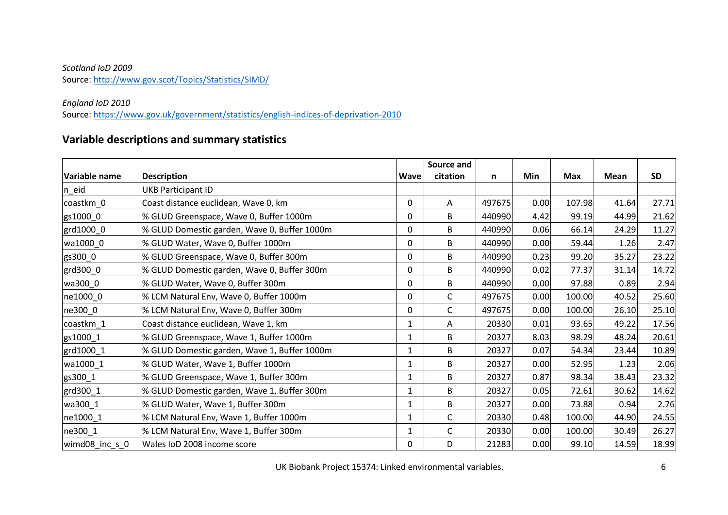### *Scotland IoD 2009* Source:<http://www.gov.scot/Topics/Statistics/SIMD/>

### *England IoD 2010*

Source:<https://www.gov.uk/government/statistics/english-indices-of-deprivation-2010>

# **Variable descriptions and summary statistics**

|                      |                                              |              | Source and   |        |      |            |             |           |
|----------------------|----------------------------------------------|--------------|--------------|--------|------|------------|-------------|-----------|
| <b>Variable name</b> | <b>Description</b>                           | <b>Wave</b>  | citation     | n      | Min  | <b>Max</b> | <b>Mean</b> | <b>SD</b> |
| $n$ -eid             | <b>UKB Participant ID</b>                    |              |              |        |      |            |             |           |
| coastkm_0            | Coast distance euclidean, Wave 0, km         | $\Omega$     | Α            | 497675 | 0.00 | 107.98     | 41.64       | 27.71     |
| gs1000_0             | % GLUD Greenspace, Wave 0, Buffer 1000m      | 0            | B            | 440990 | 4.42 | 99.19      | 44.99       | 21.62     |
| grd1000_0            | % GLUD Domestic garden, Wave 0, Buffer 1000m | 0            | B            | 440990 | 0.06 | 66.14      | 24.29       | 11.27     |
| wa1000_0             | % GLUD Water, Wave 0, Buffer 1000m           | $\mathbf 0$  | B            | 440990 | 0.00 | 59.44      | 1.26        | 2.47      |
| gs300_0              | % GLUD Greenspace, Wave 0, Buffer 300m       | 0            | B            | 440990 | 0.23 | 99.20      | 35.27       | 23.22     |
| grd300_0             | % GLUD Domestic garden, Wave 0, Buffer 300m  | 0            | B            | 440990 | 0.02 | 77.37      | 31.14       | 14.72     |
| wa300_0              | % GLUD Water, Wave 0, Buffer 300m            | $\mathbf 0$  | B            | 440990 | 0.00 | 97.88      | 0.89        | 2.94      |
| ne1000_0             | % LCM Natural Env, Wave 0, Buffer 1000m      | $\Omega$     | $\mathsf{C}$ | 497675 | 0.00 | 100.00     | 40.52       | 25.60     |
| ne300_0              | % LCM Natural Env, Wave 0, Buffer 300m       | $\mathbf 0$  | $\mathsf{C}$ | 497675 | 0.00 | 100.00     | 26.10       | 25.10     |
| coastkm_1            | Coast distance euclidean, Wave 1, km         | $\mathbf{1}$ | Α            | 20330  | 0.01 | 93.65      | 49.22       | 17.56     |
| gs1000_1             | % GLUD Greenspace, Wave 1, Buffer 1000m      | 1            | B            | 20327  | 8.03 | 98.29      | 48.24       | 20.61     |
| grd1000_1            | % GLUD Domestic garden, Wave 1, Buffer 1000m | 1            | B            | 20327  | 0.07 | 54.34      | 23.44       | 10.89     |
| wa1000 1             | % GLUD Water, Wave 1, Buffer 1000m           | 1            | B            | 20327  | 0.00 | 52.95      | 1.23        | 2.06      |
| gs300_1              | % GLUD Greenspace, Wave 1, Buffer 300m       | $\mathbf{1}$ | B            | 20327  | 0.87 | 98.34      | 38.43       | 23.32     |
| grd300_1             | % GLUD Domestic garden, Wave 1, Buffer 300m  | 1            | B            | 20327  | 0.05 | 72.61      | 30.62       | 14.62     |
| wa300_1              | % GLUD Water, Wave 1, Buffer 300m            | $\mathbf{1}$ | B            | 20327  | 0.00 | 73.88      | 0.94        | 2.76      |
| ne1000_1             | % LCM Natural Env, Wave 1, Buffer 1000m      | 1            | $\mathsf{C}$ | 20330  | 0.48 | 100.00     | 44.90       | 24.55     |
| ne300_1              | % LCM Natural Env, Wave 1, Buffer 300m       | 1            | $\mathsf{C}$ | 20330  | 0.00 | 100.00     | 30.49       | 26.27     |
| wimd08_inc_s_0       | Wales IoD 2008 income score                  | 0            | D            | 21283  | 0.00 | 99.10      | 14.59       | 18.99     |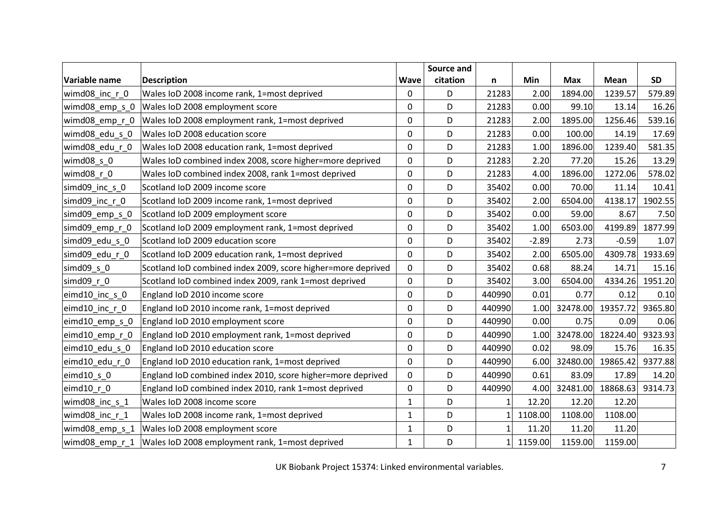|                         |                                                                 |                  | Source and |          |         |            |                  |           |
|-------------------------|-----------------------------------------------------------------|------------------|------------|----------|---------|------------|------------------|-----------|
| Variable name           | <b>Description</b>                                              | <b>Wave</b>      | citation   | n        | Min     | <b>Max</b> | Mean             | <b>SD</b> |
| wimd08_inc_r_0          | Wales IoD 2008 income rank, 1=most deprived                     | 0                | D          | 21283    | 2.00    | 1894.00    | 1239.57          | 579.89    |
| wimd08_emp_s_0          | Wales IoD 2008 employment score                                 | 0                | D          | 21283    | 0.00    | 99.10      | 13.14            | 16.26     |
|                         | wimd08_emp_r_0  Wales IoD 2008 employment rank, 1=most deprived | $\boldsymbol{0}$ | D          | 21283    | 2.00    | 1895.00    | 1256.46          | 539.16    |
| wimd08_edu_s_0          | Wales IoD 2008 education score                                  | $\mathbf 0$      | D          | 21283    | 0.00    | 100.00     | 14.19            | 17.69     |
| wimd08_edu_r_0          | Wales IoD 2008 education rank, 1=most deprived                  | $\mathbf 0$      | D          | 21283    | 1.00    | 1896.00    | 1239.40          | 581.35    |
| wimd08 s 0              | Wales IoD combined index 2008, score higher=more deprived       | 0                | D          | 21283    | 2.20    | 77.20      | 15.26            | 13.29     |
| wimd08_r_0              | Wales IoD combined index 2008, rank 1=most deprived             | $\mathbf 0$      | D          | 21283    | 4.00    | 1896.00    | 1272.06          | 578.02    |
| simd09_inc_s_0          | Scotland IoD 2009 income score                                  | 0                | D          | 35402    | 0.00    | 70.00      | 11.14            | 10.41     |
| simd09_inc_r_0          | Scotland IoD 2009 income rank, 1=most deprived                  | $\mathbf 0$      | D          | 35402    | 2.00    | 6504.00    | 4138.17          | 1902.55   |
| simd09_emp_s_0          | Scotland IoD 2009 employment score                              | $\mathbf 0$      | D          | 35402    | 0.00    | 59.00      | 8.67             | 7.50      |
| simd09_emp_r_0          | Scotland IoD 2009 employment rank, 1=most deprived              | $\mathbf 0$      | D          | 35402    | 1.00    | 6503.00    | 4199.89          | 1877.99   |
| simd09_edu_s_0          | Scotland IoD 2009 education score                               | 0                | D          | 35402    | $-2.89$ | 2.73       | $-0.59$          | 1.07      |
| simd09 edu r 0          | Scotland IoD 2009 education rank, 1=most deprived               | $\mathbf 0$      | D          | 35402    | 2.00    | 6505.00    | 4309.78          | 1933.69   |
| simd09 s 0              | Scotland IoD combined index 2009, score higher=more deprived    | $\mathbf 0$      | D          | 35402    | 0.68    | 88.24      | 14.71            | 15.16     |
| simd09 r 0              | Scotland IoD combined index 2009, rank 1=most deprived          | $\mathbf 0$      | D          | 35402    | 3.00    | 6504.00    | 4334.26          | 1951.20   |
| eimd10_inc_s_0          | England IoD 2010 income score                                   | $\mathbf 0$      | D          | 440990   | 0.01    | 0.77       | 0.12             | 0.10      |
| eimd10 inc r 0          | England IoD 2010 income rank, 1=most deprived                   | 0                | D          | 440990   | 1.00    | 32478.00   | 19357.72         | 9365.80   |
| $\text{eimd10}$ emp s 0 | England IoD 2010 employment score                               | 0                | D          | 440990   | 0.00    | 0.75       | 0.09             | 0.06      |
| eimd10 emp r 0          | England IoD 2010 employment rank, 1=most deprived               | $\mathbf 0$      | D          | 440990   | 1.00    | 32478.00   | 18224.40 9323.93 |           |
| eimd10_edu_s_0          | England IoD 2010 education score                                | 0                | D          | 440990   | 0.02    | 98.09      | 15.76            | 16.35     |
| eimd10_edu_r_0          | England IoD 2010 education rank, 1=most deprived                | $\mathbf 0$      | D          | 440990   | 6.00    | 32480.00   | 19865.42         | 9377.88   |
| $e$ imd $10$ _s_0       | England IoD combined index 2010, score higher=more deprived     | $\mathbf 0$      | D          | 440990   | 0.61    | 83.09      | 17.89            | 14.20     |
| $e$ imd $10$ $r$ $0$    | England IoD combined index 2010, rank 1=most deprived           | $\mathbf 0$      | D          | 440990   | 4.00    | 32481.00   | 18868.63         | 9314.73   |
| wimd08_inc_s_1          | Wales IoD 2008 income score                                     | 1                | D          | 1        | 12.20   | 12.20      | 12.20            |           |
| wimd08_inc_r_1          | Wales IoD 2008 income rank, 1=most deprived                     | 1                | D          |          | 1108.00 | 1108.00    | 1108.00          |           |
| wimd08_emp_s_1          | Wales IoD 2008 employment score                                 | $\mathbf{1}$     | D          | 1        | 11.20   | 11.20      | 11.20            |           |
|                         | wimd08 emp_r_1  Wales IoD 2008 employment rank, 1=most deprived | $\mathbf{1}$     | D          | $1\vert$ | 1159.00 | 1159.00    | 1159.00          |           |